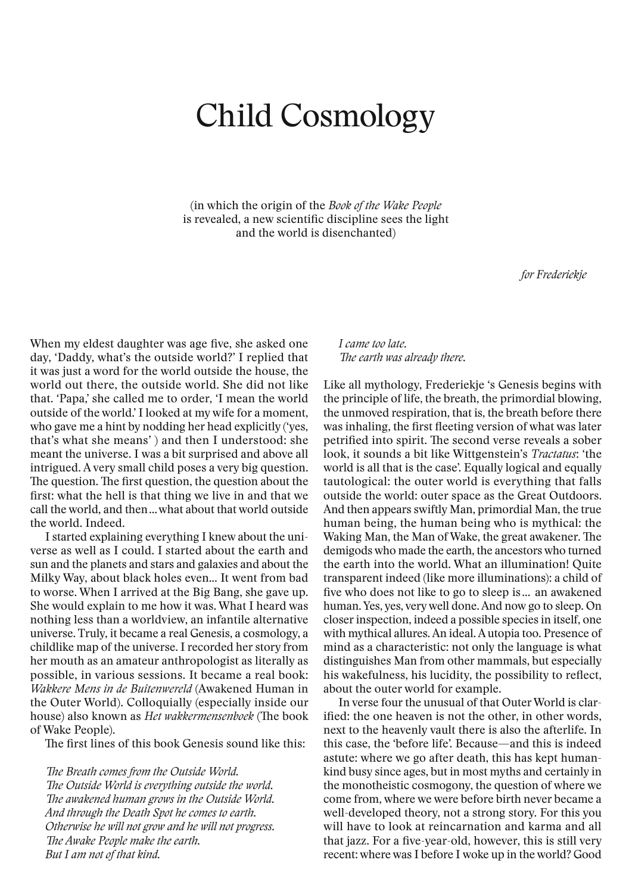## Child Cosmology

(in which the origin of the *Book of the Wake People* is revealed, a new scientific discipline sees the light and the world is disenchanted)

*for Frederiekje*

When my eldest daughter was age five, she asked one day, 'Daddy, what's the outside world?' I replied that it was just a word for the world outside the house, the world out there, the outside world. She did not like that. 'Papa,' she called me to order, 'I mean the world outside of the world.' I looked at my wife for a moment, who gave me a hint by nodding her head explicitly ('yes, that's what she means' ) and then I understood: she meant the universe. I was a bit surprised and above all intrigued. A very small child poses a very big question. The question. The first question, the question about the first: what the hell is that thing we live in and that we call the world, and then … what about that world outside the world. Indeed.

I started explaining everything I knew about the universe as well as I could. I started about the earth and sun and the planets and stars and galaxies and about the Milky Way, about black holes even... It went from bad to worse. When I arrived at the Big Bang, she gave up. She would explain to me how it was. What I heard was nothing less than a worldview, an infantile alternative universe. Truly, it became a real Genesis, a cosmology, a childlike map of the universe. I recorded her story from her mouth as an amateur anthropologist as literally as possible, in various sessions. It became a real book: *Wakkere Mens in de Buitenwereld* (Awakened Human in the Outer World). Colloquially (especially inside our house) also known as *Het wakkermensenboek* (The book of Wake People).

The first lines of this book Genesis sound like this:

*The Breath comes from the Outside World. The Outside World is everything outside the world. The awakened human grows in the Outside World. And through the Death Spot he comes to earth. Otherwise he will not grow and he will not progress. The Awake People make the earth. But I am not of that kind.*

## *I came too late. The earth was already there.*

Like all mythology, Frederiekje 's Genesis begins with the principle of life, the breath, the primordial blowing, the unmoved respiration, that is, the breath before there was inhaling, the first fleeting version of what was later petrified into spirit. The second verse reveals a sober look, it sounds a bit like Wittgenstein's *Tractatus*: 'the world is all that is the case'. Equally logical and equally tautological: the outer world is everything that falls outside the world: outer space as the Great Outdoors. And then appears swiftly Man, primordial Man, the true human being, the human being who is mythical: the Waking Man, the Man of Wake, the great awakener. The demigods who made the earth, the ancestors who turned the earth into the world. What an illumination! Quite transparent indeed (like more illuminations): a child of five who does not like to go to sleep is …  an awakened human. Yes, yes, very well done. And now go to sleep. On closer inspection, indeed a possible species in itself, one with mythical allures. An ideal. A utopia too. Presence of mind as a characteristic: not only the language is what distinguishes Man from other mammals, but especially his wakefulness, his lucidity, the possibility to reflect, about the outer world for example.

In verse four the unusual of that Outer World is clarified: the one heaven is not the other, in other words, next to the heavenly vault there is also the afterlife. In this case, the 'before life'. Because—and this is indeed astute: where we go after death, this has kept humankind busy since ages, but in most myths and certainly in the monotheistic cosmogony, the question of where we come from, where we were before birth never became a well-developed theory, not a strong story. For this you will have to look at reincarnation and karma and all that jazz. For a five-year-old, however, this is still very recent: where was I before I woke up in the world? Good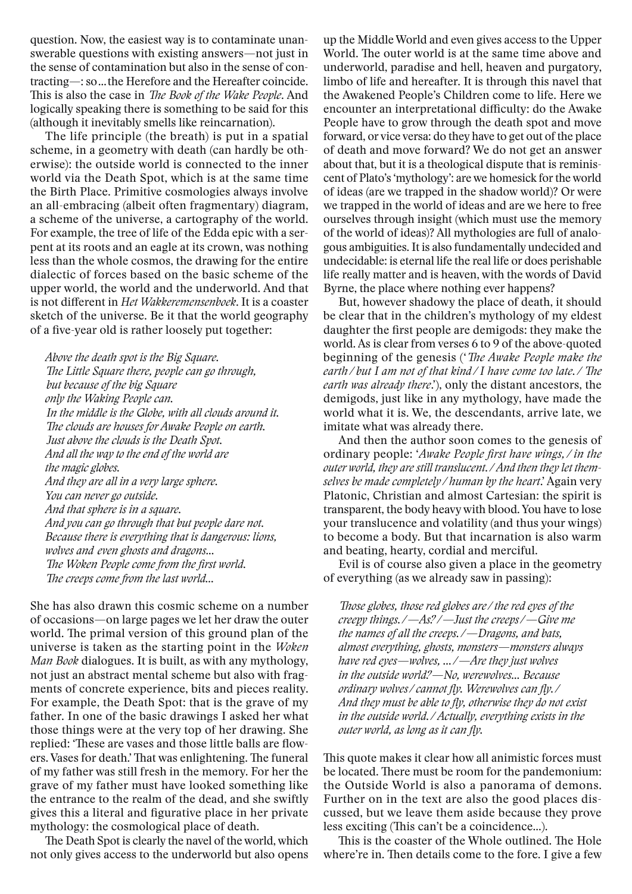question. Now, the easiest way is to contaminate unanswerable questions with existing answers—not just in the sense of contamination but also in the sense of contracting—: so … the Herefore and the Hereafter coincide. This is also the case in *The Book of the Wake People*. And logically speaking there is something to be said for this (although it inevitably smells like reincarnation).

The life principle (the breath) is put in a spatial scheme, in a geometry with death (can hardly be otherwise): the outside world is connected to the inner world via the Death Spot, which is at the same time the Birth Place. Primitive cosmologies always involve an all-embracing (albeit often fragmentary) diagram, a scheme of the universe, a cartography of the world. For example, the tree of life of the Edda epic with a serpent at its roots and an eagle at its crown, was nothing less than the whole cosmos, the drawing for the entire dialectic of forces based on the basic scheme of the upper world, the world and the underworld. And that is not different in *Het Wakkeremensenboek*. It is a coaster sketch of the universe. Be it that the world geography of a five-year old is rather loosely put together:

*Above the death spot is the Big Square. The Little Square there, people can go through,  but because of the big Square only the Waking People can.  In the middle is the Globe, with all clouds around it. The clouds are houses for Awake People on earth.  Just above the clouds is the Death Spot. And all the way to the end of the world are the magic globes. And they are all in a very large sphere. You can never go outside. And that sphere is in a square. And you can go through that but people dare not. Because there is everything that is dangerous: lions, wolves and  even ghosts and dragons... The Woken People come from the first world. The creeps come from the last world...*

She has also drawn this cosmic scheme on a number of occasions—on large pages we let her draw the outer world. The primal version of this ground plan of the universe is taken as the starting point in the *Woken Man Book* dialogues. It is built, as with any mythology, not just an abstract mental scheme but also with fragments of concrete experience, bits and pieces reality. For example, the Death Spot: that is the grave of my father. In one of the basic drawings I asked her what those things were at the very top of her drawing. She replied: 'These are vases and those little balls are flowers. Vases for death.' That was enlightening. The funeral of my father was still fresh in the memory. For her the grave of my father must have looked something like the entrance to the realm of the dead, and she swiftly gives this a literal and figurative place in her private mythology: the cosmological place of death.

The Death Spot is clearly the navel of the world, which not only gives access to the underworld but also opens

up the Middle World and even gives access to the Upper World. The outer world is at the same time above and underworld, paradise and hell, heaven and purgatory, limbo of life and hereafter. It is through this navel that the Awakened People's Children come to life. Here we encounter an interpretational difficulty: do the Awake People have to grow through the death spot and move forward, or vice versa: do they have to get out of the place of death and move forward? We do not get an answer about that, but it is a theological dispute that is reminiscent of Plato's 'mythology': are we homesick for the world of ideas (are we trapped in the shadow world)? Or were we trapped in the world of ideas and are we here to free ourselves through insight (which must use the memory of the world of ideas)? All mythologies are full of analogous ambiguities. It is also fundamentally undecided and undecidable: is eternal life the real life or does perishable life really matter and is heaven, with the words of David Byrne, the place where nothing ever happens?

But, however shadowy the place of death, it should be clear that in the children's mythology of my eldest daughter the first people are demigods: they make the world. As is clear from verses 6 to 9 of the above-quoted beginning of the genesis ('*The Awake People make the earth / but I am not of that kind / I have come too late. / The earth was already there*.'), only the distant ancestors, the demigods, just like in any mythology, have made the world what it is. We, the descendants, arrive late, we imitate what was already there.

And then the author soon comes to the genesis of ordinary people: '*Awake People first have wings, / in the outer world, they are still translucent. / And then they let themselves be made completely / human by the heart*.' Again very Platonic, Christian and almost Cartesian: the spirit is transparent, the body heavy with blood. You have to lose your translucence and volatility (and thus your wings) to become a body. But that incarnation is also warm and beating, hearty, cordial and merciful.

Evil is of course also given a place in the geometry of everything (as we already saw in passing):

*Those globes, those red globes are / the red eyes of the creepy things. /—As? /—Just the creeps /—Give me the names of all the creeps. /—Dragons, and bats, almost everything, ghosts, monsters—monsters always have red eyes—wolves, ... /—Are they just wolves in the outside world?—No, werewolves… Because ordinary wolves / cannot fly. Werewolves can fly. / And they must be able to fly, otherwise they do not exist in the outside world. / Actually, everything exists in the outer world, as long as it can fly.*

This quote makes it clear how all animistic forces must be located. There must be room for the pandemonium: the Outside World is also a panorama of demons. Further on in the text are also the good places discussed, but we leave them aside because they prove less exciting (This can't be a coincidence...).

This is the coaster of the Whole outlined. The Hole where're in. Then details come to the fore. I give a few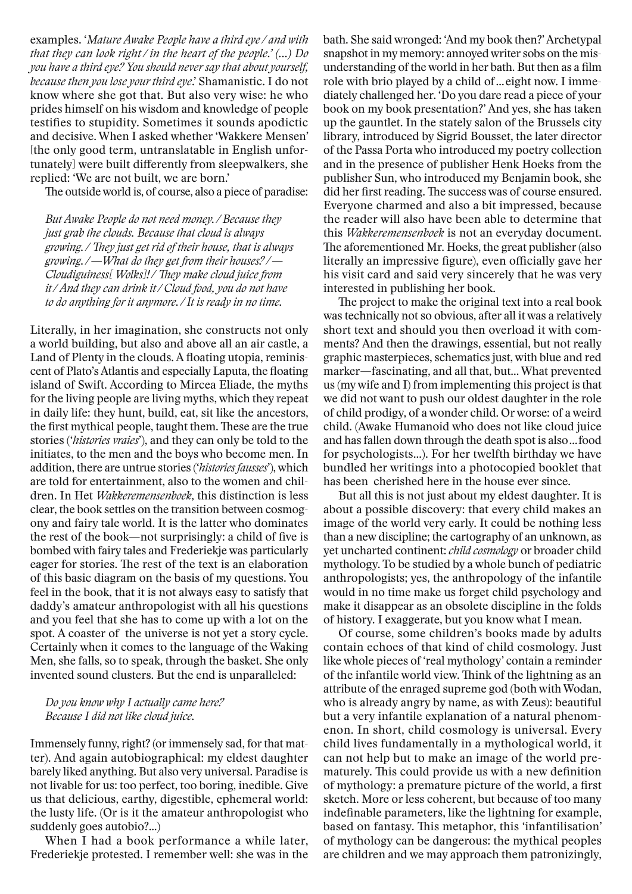examples. '*Mature Awake People have a third eye / and with that they can look right / in the heart of the people.' (...) Do you have a third eye? You should never say that about yourself, because then you lose your third eye*.' Shamanistic. I do not know where she got that. But also very wise: he who prides himself on his wisdom and knowledge of people testifies to stupidity. Sometimes it sounds apodictic and decisive. When I asked whether 'Wakkere Mensen' [the only good term, untranslatable in English unfortunately] were built differently from sleepwalkers, she replied: 'We are not built, we are born.'

The outside world is, of course, also a piece of paradise:

*But Awake People do not need money. / Because they just grab the clouds. Because that cloud is always growing. / They just get rid of their house, that is always growing. /—What do they get from their houses? /— Cloudiguiness[ Wolks]! / They make cloud juice from it / And they can drink it / Cloud food, you do not have to do anything for it anymore. / It is ready in no time.*

Literally, in her imagination, she constructs not only a world building, but also and above all an air castle, a Land of Plenty in the clouds. A floating utopia, reminiscent of Plato's Atlantis and especially Laputa, the floating island of Swift. According to Mircea Eliade, the myths for the living people are living myths, which they repeat in daily life: they hunt, build, eat, sit like the ancestors, the first mythical people, taught them. These are the true stories ('*histories vraies*'), and they can only be told to the initiates, to the men and the boys who become men. In addition, there are untrue stories ('*histories fausses*'), which are told for entertainment, also to the women and children. In Het *Wakkeremensenboek*, this distinction is less clear, the book settles on the transition between cosmogony and fairy tale world. It is the latter who dominates the rest of the book—not surprisingly: a child of five is bombed with fairy tales and Frederiekje was particularly eager for stories. The rest of the text is an elaboration of this basic diagram on the basis of my questions. You feel in the book, that it is not always easy to satisfy that daddy's amateur anthropologist with all his questions and you feel that she has to come up with a lot on the spot. A coaster of the universe is not yet a story cycle. Certainly when it comes to the language of the Waking Men, she falls, so to speak, through the basket. She only invented sound clusters. But the end is unparalleled:

## *Do you know why I actually came here? Because I did not like cloud juice.*

Immensely funny, right? (or immensely sad, for that matter). And again autobiographical: my eldest daughter barely liked anything. But also very universal. Paradise is not livable for us: too perfect, too boring, inedible. Give us that delicious, earthy, digestible, ephemeral world: the lusty life. (Or is it the amateur anthropologist who suddenly goes autobio?...)

When I had a book performance a while later, Frederiekje protested. I remember well: she was in the bath. She said wronged: 'And my book then?' Archetypal snapshot in my memory: annoyed writer sobs on the misunderstanding of the world in her bath. But then as a film role with brio played by a child of … eight now. I immediately challenged her. 'Do you dare read a piece of your book on my book presentation?' And yes, she has taken up the gauntlet. In the stately salon of the Brussels city library, introduced by Sigrid Bousset, the later director of the Passa Porta who introduced my poetry collection and in the presence of publisher Henk Hoeks from the publisher Sun, who introduced my Benjamin book, she did her first reading. The success was of course ensured. Everyone charmed and also a bit impressed, because the reader will also have been able to determine that this *Wakkeremensenboek* is not an everyday document. The aforementioned Mr. Hoeks, the great publisher (also literally an impressive figure), even officially gave her his visit card and said very sincerely that he was very interested in publishing her book.

The project to make the original text into a real book was technically not so obvious, after all it was a relatively short text and should you then overload it with comments? And then the drawings, essential, but not really graphic masterpieces, schematics just, with blue and red marker—fascinating, and all that, but… What prevented us (my wife and I) from implementing this project is that we did not want to push our oldest daughter in the role of child prodigy, of a wonder child. Or worse: of a weird child. (Awake Humanoid who does not like cloud juice and has fallen down through the death spot is also … food for psychologists...). For her twelfth birthday we have bundled her writings into a photocopied booklet that has been cherished here in the house ever since.

But all this is not just about my eldest daughter. It is about a possible discovery: that every child makes an image of the world very early. It could be nothing less than a new discipline; the cartography of an unknown, as yet uncharted continent: *child cosmology* or broader child mythology. To be studied by a whole bunch of pediatric anthropologists; yes, the anthropology of the infantile would in no time make us forget child psychology and make it disappear as an obsolete discipline in the folds of history. I exaggerate, but you know what I mean.

Of course, some children's books made by adults contain echoes of that kind of child cosmology. Just like whole pieces of 'real mythology' contain a reminder of the infantile world view. Think of the lightning as an attribute of the enraged supreme god (both with Wodan, who is already angry by name, as with Zeus): beautiful but a very infantile explanation of a natural phenomenon. In short, child cosmology is universal. Every child lives fundamentally in a mythological world, it can not help but to make an image of the world prematurely. This could provide us with a new definition of mythology: a premature picture of the world, a first sketch. More or less coherent, but because of too many indefinable parameters, like the lightning for example, based on fantasy. This metaphor, this 'infantilisation' of mythology can be dangerous: the mythical peoples are children and we may approach them patronizingly,